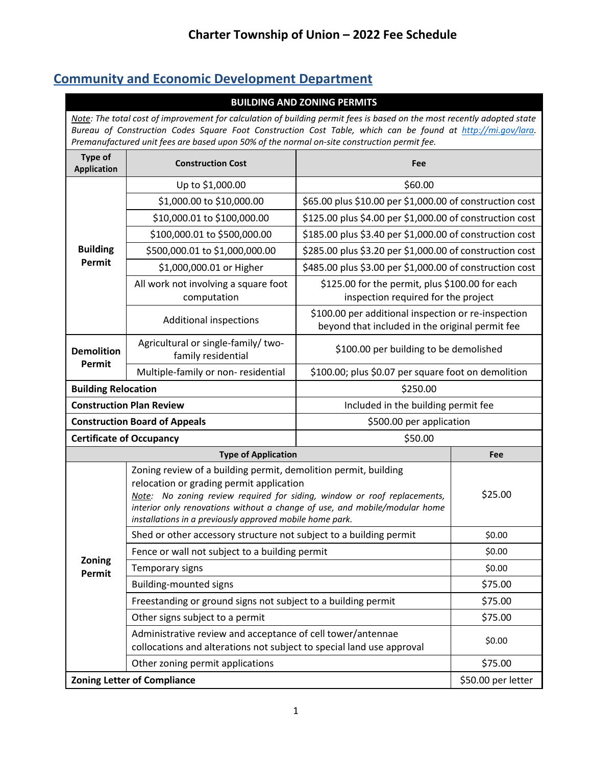# **Community and Economic Development Department**

| <b>BUILDING AND ZONING PERMITS</b>                                                                                                                                                                                                                                                                                                    |                                                                                                                                                                                                                                                                                                                                   |                                                                                                        |     |  |  |
|---------------------------------------------------------------------------------------------------------------------------------------------------------------------------------------------------------------------------------------------------------------------------------------------------------------------------------------|-----------------------------------------------------------------------------------------------------------------------------------------------------------------------------------------------------------------------------------------------------------------------------------------------------------------------------------|--------------------------------------------------------------------------------------------------------|-----|--|--|
| Note: The total cost of improvement for calculation of building permit fees is based on the most recently adopted state<br>Bureau of Construction Codes Square Foot Construction Cost Table, which can be found at http://mi.gov/lara.<br>Premanufactured unit fees are based upon 50% of the normal on-site construction permit fee. |                                                                                                                                                                                                                                                                                                                                   |                                                                                                        |     |  |  |
| <b>Type of</b><br><b>Application</b>                                                                                                                                                                                                                                                                                                  | <b>Construction Cost</b>                                                                                                                                                                                                                                                                                                          | Fee                                                                                                    |     |  |  |
|                                                                                                                                                                                                                                                                                                                                       | Up to \$1,000.00                                                                                                                                                                                                                                                                                                                  | \$60.00                                                                                                |     |  |  |
|                                                                                                                                                                                                                                                                                                                                       | \$1,000.00 to \$10,000.00                                                                                                                                                                                                                                                                                                         | \$65.00 plus \$10.00 per \$1,000.00 of construction cost                                               |     |  |  |
|                                                                                                                                                                                                                                                                                                                                       | \$10,000.01 to \$100,000.00                                                                                                                                                                                                                                                                                                       | \$125.00 plus \$4.00 per \$1,000.00 of construction cost                                               |     |  |  |
|                                                                                                                                                                                                                                                                                                                                       | \$100,000.01 to \$500,000.00                                                                                                                                                                                                                                                                                                      | \$185.00 plus \$3.40 per \$1,000.00 of construction cost                                               |     |  |  |
| <b>Building</b>                                                                                                                                                                                                                                                                                                                       | \$500,000.01 to \$1,000,000.00                                                                                                                                                                                                                                                                                                    | \$285.00 plus \$3.20 per \$1,000.00 of construction cost                                               |     |  |  |
| Permit                                                                                                                                                                                                                                                                                                                                | \$1,000,000.01 or Higher                                                                                                                                                                                                                                                                                                          | \$485.00 plus \$3.00 per \$1,000.00 of construction cost                                               |     |  |  |
|                                                                                                                                                                                                                                                                                                                                       | All work not involving a square foot<br>computation                                                                                                                                                                                                                                                                               | \$125.00 for the permit, plus \$100.00 for each<br>inspection required for the project                 |     |  |  |
|                                                                                                                                                                                                                                                                                                                                       | <b>Additional inspections</b>                                                                                                                                                                                                                                                                                                     | \$100.00 per additional inspection or re-inspection<br>beyond that included in the original permit fee |     |  |  |
| <b>Demolition</b>                                                                                                                                                                                                                                                                                                                     | Agricultural or single-family/ two-<br>family residential                                                                                                                                                                                                                                                                         | \$100.00 per building to be demolished                                                                 |     |  |  |
| Permit                                                                                                                                                                                                                                                                                                                                | Multiple-family or non-residential                                                                                                                                                                                                                                                                                                | \$100.00; plus \$0.07 per square foot on demolition                                                    |     |  |  |
| <b>Building Relocation</b>                                                                                                                                                                                                                                                                                                            |                                                                                                                                                                                                                                                                                                                                   | \$250.00                                                                                               |     |  |  |
| <b>Construction Plan Review</b><br>Included in the building permit fee                                                                                                                                                                                                                                                                |                                                                                                                                                                                                                                                                                                                                   |                                                                                                        |     |  |  |
|                                                                                                                                                                                                                                                                                                                                       | <b>Construction Board of Appeals</b>                                                                                                                                                                                                                                                                                              | \$500.00 per application                                                                               |     |  |  |
| <b>Certificate of Occupancy</b>                                                                                                                                                                                                                                                                                                       |                                                                                                                                                                                                                                                                                                                                   | \$50.00                                                                                                |     |  |  |
|                                                                                                                                                                                                                                                                                                                                       | <b>Type of Application</b>                                                                                                                                                                                                                                                                                                        |                                                                                                        | Fee |  |  |
|                                                                                                                                                                                                                                                                                                                                       | Zoning review of a building permit, demolition permit, building<br>relocation or grading permit application<br>Note: No zoning review required for siding, window or roof replacements,<br>interior only renovations without a change of use, and mobile/modular home<br>installations in a previously approved mobile home park. | \$25.00                                                                                                |     |  |  |
|                                                                                                                                                                                                                                                                                                                                       | Shed or other accessory structure not subject to a building permit                                                                                                                                                                                                                                                                | \$0.00                                                                                                 |     |  |  |
| Zoning                                                                                                                                                                                                                                                                                                                                | Fence or wall not subject to a building permit                                                                                                                                                                                                                                                                                    | \$0.00                                                                                                 |     |  |  |
| Permit                                                                                                                                                                                                                                                                                                                                | Temporary signs                                                                                                                                                                                                                                                                                                                   | \$0.00                                                                                                 |     |  |  |
|                                                                                                                                                                                                                                                                                                                                       | <b>Building-mounted signs</b>                                                                                                                                                                                                                                                                                                     | \$75.00                                                                                                |     |  |  |
|                                                                                                                                                                                                                                                                                                                                       | Freestanding or ground signs not subject to a building permit                                                                                                                                                                                                                                                                     | \$75.00                                                                                                |     |  |  |
|                                                                                                                                                                                                                                                                                                                                       | Other signs subject to a permit                                                                                                                                                                                                                                                                                                   | \$75.00                                                                                                |     |  |  |
|                                                                                                                                                                                                                                                                                                                                       | Administrative review and acceptance of cell tower/antennae<br>collocations and alterations not subject to special land use approval                                                                                                                                                                                              | \$0.00                                                                                                 |     |  |  |
|                                                                                                                                                                                                                                                                                                                                       | Other zoning permit applications                                                                                                                                                                                                                                                                                                  | \$75.00                                                                                                |     |  |  |
| <b>Zoning Letter of Compliance</b>                                                                                                                                                                                                                                                                                                    | \$50.00 per letter                                                                                                                                                                                                                                                                                                                |                                                                                                        |     |  |  |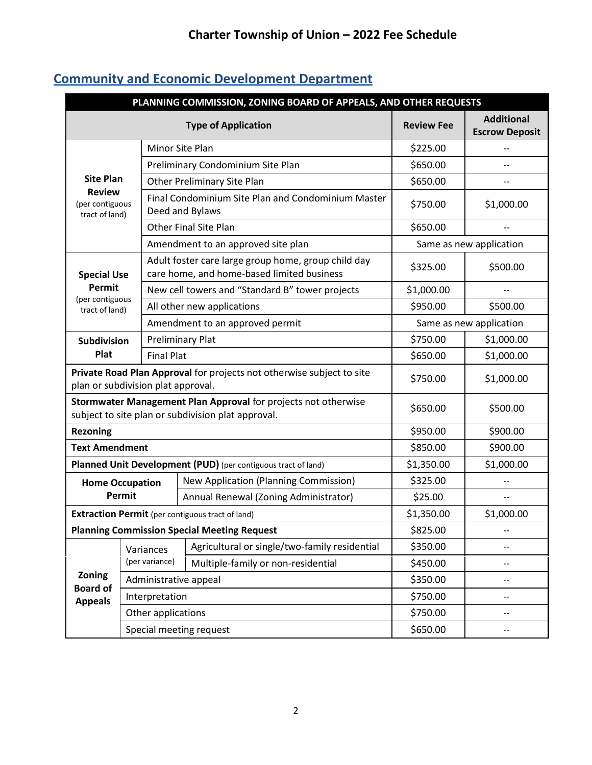| PLANNING COMMISSION, ZONING BOARD OF APPEALS, AND OTHER REQUESTS                                                     |                                                    |                                       |                                                                                                   |                         |                                            |
|----------------------------------------------------------------------------------------------------------------------|----------------------------------------------------|---------------------------------------|---------------------------------------------------------------------------------------------------|-------------------------|--------------------------------------------|
| <b>Type of Application</b>                                                                                           |                                                    |                                       |                                                                                                   | <b>Review Fee</b>       | <b>Additional</b><br><b>Escrow Deposit</b> |
|                                                                                                                      |                                                    |                                       | <b>Minor Site Plan</b>                                                                            | \$225.00                |                                            |
|                                                                                                                      |                                                    | Preliminary Condominium Site Plan     |                                                                                                   |                         |                                            |
| <b>Site Plan</b>                                                                                                     |                                                    |                                       | Other Preliminary Site Plan                                                                       | \$650.00                |                                            |
| <b>Review</b><br>(per contiguous<br>tract of land)                                                                   |                                                    |                                       | Final Condominium Site Plan and Condominium Master<br>Deed and Bylaws                             | \$750.00                | \$1,000.00                                 |
|                                                                                                                      |                                                    |                                       | <b>Other Final Site Plan</b>                                                                      | \$650.00                |                                            |
|                                                                                                                      |                                                    |                                       | Amendment to an approved site plan                                                                | Same as new application |                                            |
| <b>Special Use</b>                                                                                                   |                                                    |                                       | Adult foster care large group home, group child day<br>care home, and home-based limited business | \$325.00                | \$500.00                                   |
| Permit                                                                                                               |                                                    |                                       | New cell towers and "Standard B" tower projects                                                   | \$1,000.00              |                                            |
| (per contiguous<br>tract of land)                                                                                    |                                                    |                                       | All other new applications                                                                        | \$950.00                | \$500.00                                   |
|                                                                                                                      |                                                    |                                       | Amendment to an approved permit                                                                   | Same as new application |                                            |
| <b>Subdivision</b>                                                                                                   |                                                    | <b>Preliminary Plat</b>               |                                                                                                   |                         | \$1,000.00                                 |
| Plat                                                                                                                 | <b>Final Plat</b>                                  |                                       |                                                                                                   | \$650.00                | \$1,000.00                                 |
| Private Road Plan Approval for projects not otherwise subject to site<br>plan or subdivision plat approval.          |                                                    |                                       | \$750.00                                                                                          | \$1,000.00              |                                            |
| Stormwater Management Plan Approval for projects not otherwise<br>subject to site plan or subdivision plat approval. |                                                    |                                       | \$650.00                                                                                          | \$500.00                |                                            |
| <b>Rezoning</b>                                                                                                      |                                                    |                                       |                                                                                                   | \$950.00                | \$900.00                                   |
| <b>Text Amendment</b>                                                                                                |                                                    |                                       |                                                                                                   | \$850.00                | \$900.00                                   |
|                                                                                                                      |                                                    |                                       | Planned Unit Development (PUD) (per contiguous tract of land)                                     | \$1,350.00              | \$1,000.00                                 |
|                                                                                                                      | <b>Home Occupation</b>                             |                                       | <b>New Application (Planning Commission)</b>                                                      | \$325.00                |                                            |
|                                                                                                                      | Permit                                             | Annual Renewal (Zoning Administrator) |                                                                                                   | \$25.00                 | --                                         |
|                                                                                                                      |                                                    |                                       | <b>Extraction Permit</b> (per contiguous tract of land)                                           | \$1,350.00              | \$1,000.00                                 |
|                                                                                                                      | <b>Planning Commission Special Meeting Request</b> |                                       |                                                                                                   | \$825.00                | --                                         |
|                                                                                                                      | Variances<br>(per variance)                        |                                       | Agricultural or single/two-family residential                                                     | \$350.00                |                                            |
| Zoning<br><b>Board of</b><br><b>Appeals</b>                                                                          |                                                    |                                       | Multiple-family or non-residential                                                                | \$450.00                |                                            |
|                                                                                                                      | Administrative appeal                              |                                       |                                                                                                   | \$350.00                |                                            |
|                                                                                                                      | Interpretation                                     |                                       |                                                                                                   | \$750.00                | --                                         |
|                                                                                                                      | Other applications                                 |                                       |                                                                                                   | \$750.00                | --                                         |
|                                                                                                                      |                                                    |                                       | Special meeting request                                                                           | \$650.00                |                                            |

# **Community and Economic Development Department**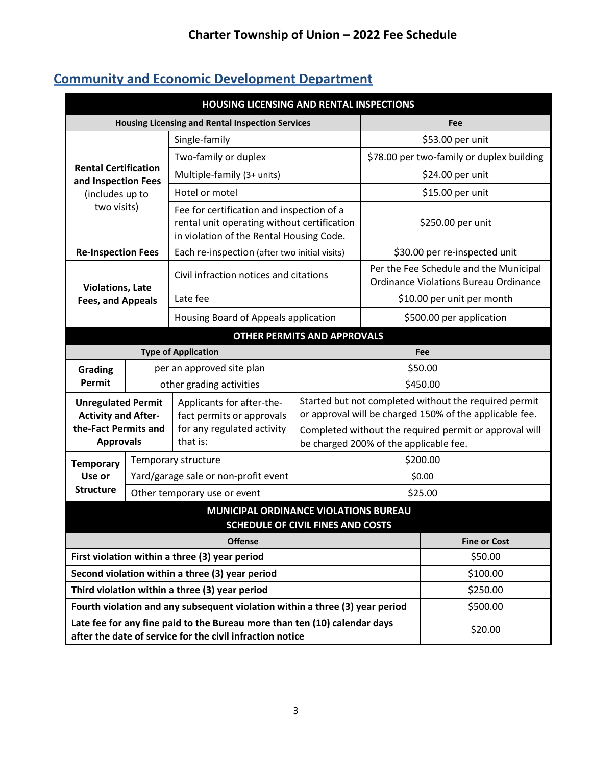# **Community and Economic Development Department**

| <b>HOUSING LICENSING AND RENTAL INSPECTIONS</b>                                                                                        |                                                         |                                                                                                                                      |                                                                                                  |                                                                                        |          |  |  |
|----------------------------------------------------------------------------------------------------------------------------------------|---------------------------------------------------------|--------------------------------------------------------------------------------------------------------------------------------------|--------------------------------------------------------------------------------------------------|----------------------------------------------------------------------------------------|----------|--|--|
|                                                                                                                                        | <b>Housing Licensing and Rental Inspection Services</b> |                                                                                                                                      |                                                                                                  |                                                                                        | Fee      |  |  |
| <b>Rental Certification</b><br>and Inspection Fees<br>(includes up to<br>two visits)                                                   |                                                         | Single-family                                                                                                                        |                                                                                                  | \$53.00 per unit                                                                       |          |  |  |
|                                                                                                                                        |                                                         | Two-family or duplex                                                                                                                 |                                                                                                  | \$78.00 per two-family or duplex building                                              |          |  |  |
|                                                                                                                                        |                                                         | Multiple-family (3+ units)                                                                                                           |                                                                                                  | \$24.00 per unit                                                                       |          |  |  |
|                                                                                                                                        |                                                         | Hotel or motel                                                                                                                       |                                                                                                  | \$15.00 per unit                                                                       |          |  |  |
|                                                                                                                                        |                                                         | Fee for certification and inspection of a<br>rental unit operating without certification<br>in violation of the Rental Housing Code. |                                                                                                  | \$250.00 per unit                                                                      |          |  |  |
| <b>Re-Inspection Fees</b>                                                                                                              |                                                         | Each re-inspection (after two initial visits)                                                                                        |                                                                                                  | \$30.00 per re-inspected unit                                                          |          |  |  |
| <b>Violations, Late</b>                                                                                                                |                                                         | Civil infraction notices and citations                                                                                               |                                                                                                  | Per the Fee Schedule and the Municipal<br><b>Ordinance Violations Bureau Ordinance</b> |          |  |  |
| <b>Fees, and Appeals</b>                                                                                                               |                                                         | Late fee                                                                                                                             |                                                                                                  | \$10.00 per unit per month                                                             |          |  |  |
|                                                                                                                                        |                                                         | Housing Board of Appeals application                                                                                                 |                                                                                                  | \$500.00 per application                                                               |          |  |  |
| <b>OTHER PERMITS AND APPROVALS</b>                                                                                                     |                                                         |                                                                                                                                      |                                                                                                  |                                                                                        |          |  |  |
| <b>Type of Application</b>                                                                                                             |                                                         |                                                                                                                                      |                                                                                                  | Fee                                                                                    |          |  |  |
| Grading                                                                                                                                |                                                         | per an approved site plan                                                                                                            |                                                                                                  | \$50.00                                                                                |          |  |  |
| Permit                                                                                                                                 |                                                         | other grading activities                                                                                                             | \$450.00                                                                                         |                                                                                        |          |  |  |
| <b>Unregulated Permit</b>                                                                                                              |                                                         | Applicants for after-the-                                                                                                            | Started but not completed without the required permit                                            |                                                                                        |          |  |  |
| <b>Activity and After-</b><br>the-Fact Permits and                                                                                     |                                                         | fact permits or approvals<br>for any regulated activity                                                                              | or approval will be charged 150% of the applicable fee.                                          |                                                                                        |          |  |  |
| <b>Approvals</b>                                                                                                                       |                                                         | that is:                                                                                                                             | Completed without the required permit or approval will<br>be charged 200% of the applicable fee. |                                                                                        |          |  |  |
| <b>Temporary</b>                                                                                                                       |                                                         | Temporary structure                                                                                                                  | \$200.00                                                                                         |                                                                                        |          |  |  |
| Use or                                                                                                                                 |                                                         | Yard/garage sale or non-profit event                                                                                                 |                                                                                                  |                                                                                        | \$0.00   |  |  |
| <b>Structure</b>                                                                                                                       |                                                         | Other temporary use or event                                                                                                         |                                                                                                  |                                                                                        | \$25.00  |  |  |
| MUNICIPAL ORDINANCE VIOLATIONS BUREAU<br>SCHEDULE OF CIVIL FINES AND COSTS                                                             |                                                         |                                                                                                                                      |                                                                                                  |                                                                                        |          |  |  |
| <b>Offense</b><br><b>Fine or Cost</b>                                                                                                  |                                                         |                                                                                                                                      |                                                                                                  |                                                                                        |          |  |  |
| First violation within a three (3) year period                                                                                         |                                                         |                                                                                                                                      |                                                                                                  | \$50.00                                                                                |          |  |  |
| Second violation within a three (3) year period                                                                                        |                                                         |                                                                                                                                      |                                                                                                  |                                                                                        | \$100.00 |  |  |
| Third violation within a three (3) year period                                                                                         |                                                         |                                                                                                                                      |                                                                                                  |                                                                                        | \$250.00 |  |  |
| Fourth violation and any subsequent violation within a three (3) year period                                                           |                                                         |                                                                                                                                      |                                                                                                  | \$500.00                                                                               |          |  |  |
| Late fee for any fine paid to the Bureau more than ten (10) calendar days<br>after the date of service for the civil infraction notice |                                                         |                                                                                                                                      |                                                                                                  | \$20.00                                                                                |          |  |  |